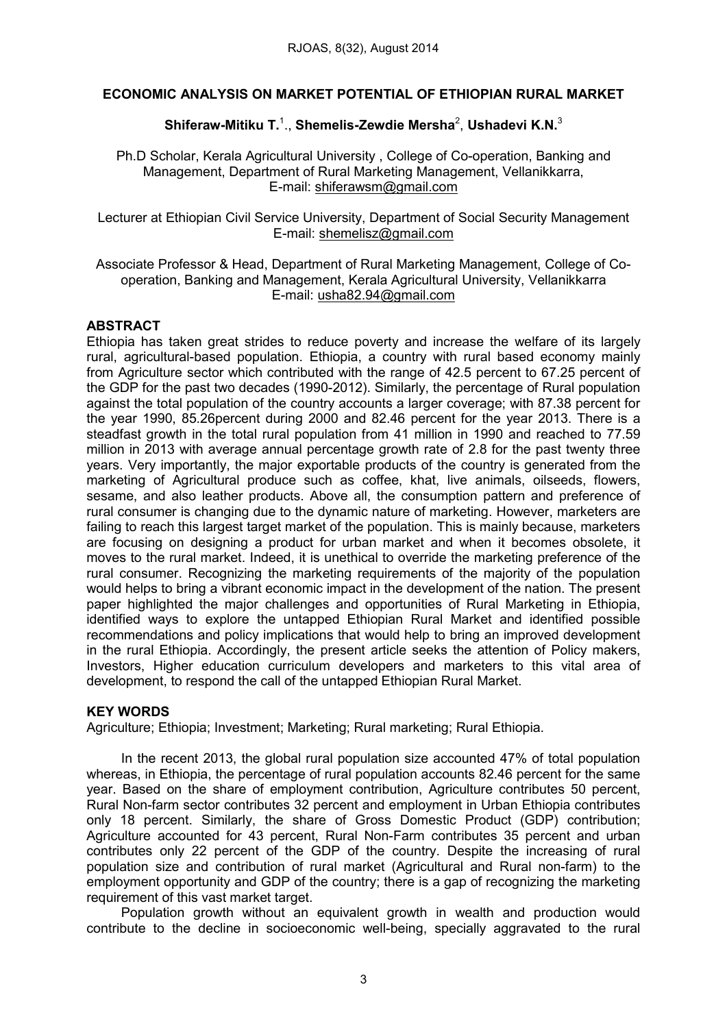## ECONOMIC ANALYSIS ON MARKET POTENTIAL OF ETHIOPIAN RURAL MARKET

# Shiferaw-Mitiku T. $^1$ ., Shemelis-Zewdie Mersha $^2$ , Ushadevi K.N. $^3$

Ph.D Scholar, Kerala Agricultural University , College of Co-operation, Banking and Management, Department of Rural Marketing Management, Vellanikkarra, E-mail: shiferawsm@gmail.com

Lecturer at Ethiopian Civil Service University, Department of Social Security Management E-mail: [shemelisz@gmail.com](mailto:shemelisz@gmail.com)

Associate Professor & Head, Department of Rural Marketing Management, College of Cooperation, Banking and Management, Kerala Agricultural University, Vellanikkarra E-mail: [usha82.94@gmail.com](mailto:usha82.94@gmail.com)

#### ABSTRACT

Ethiopia has taken great strides to reduce poverty and increase the welfare of its largely rural, agricultural-based population. Ethiopia, a country with rural based economy mainly from Agriculture sector which contributed with the range of 42.5 percent to 67.25 percent of the GDP for the past two decades (1990-2012). Similarly, the percentage of Rural population against the total population of the country accounts a larger coverage; with 87.38 percent for the year 1990, 85.26percent during 2000 and 82.46 percent for the year 2013. There is a steadfast growth in the total rural population from 41 million in 1990 and reached to 77.59 million in 2013 with average annual percentage growth rate of 2.8 for the past twenty three years. Very importantly, the major exportable products of the country is generated from the marketing of Agricultural produce such as coffee, khat, live animals, oilseeds, flowers, sesame, and also leather products. Above all, the consumption pattern and preference of rural consumer is changing due to the dynamic nature of marketing. However, marketers are failing to reach this largest target market of the population. This is mainly because, marketers are focusing on designing a product for urban market and when it becomes obsolete, it moves to the rural market. Indeed, it is unethical to override the marketing preference of the rural consumer. Recognizing the marketing requirements of the majority of the population would helps to bring a vibrant economic impact in the development of the nation. The present paper highlighted the major challenges and opportunities of Rural Marketing in Ethiopia, identified ways to explore the untapped Ethiopian Rural Market and identified possible recommendations and policy implications that would help to bring an improved development in the rural Ethiopia. Accordingly, the present article seeks the attention of Policy makers, Investors, Higher education curriculum developers and marketers to this vital area of development, to respond the call of the untapped Ethiopian Rural Market.

### KEY WORDS

Agriculture; Ethiopia; Investment; Marketing; Rural marketing; Rural Ethiopia.

In the recent 2013, the global rural population size accounted 47% of total population whereas, in Ethiopia, the percentage of rural population accounts 82.46 percent for the same year. Based on the share of employment contribution, Agriculture contributes 50 percent, Rural Non-farm sector contributes 32 percent and employment in Urban Ethiopia contributes only 18 percent. Similarly, the share of Gross Domestic Product (GDP) contribution; Agriculture accounted for 43 percent, Rural Non-Farm contributes 35 percent and urban contributes only 22 percent of the GDP of the country. Despite the increasing of rural population size and contribution of rural market (Agricultural and Rural non-farm) to the employment opportunity and GDP of the country; there is a gap of recognizing the marketing requirement of this vast market target.

Population growth without an equivalent growth in wealth and production would contribute to the decline in socioeconomic well-being, specially aggravated to the rural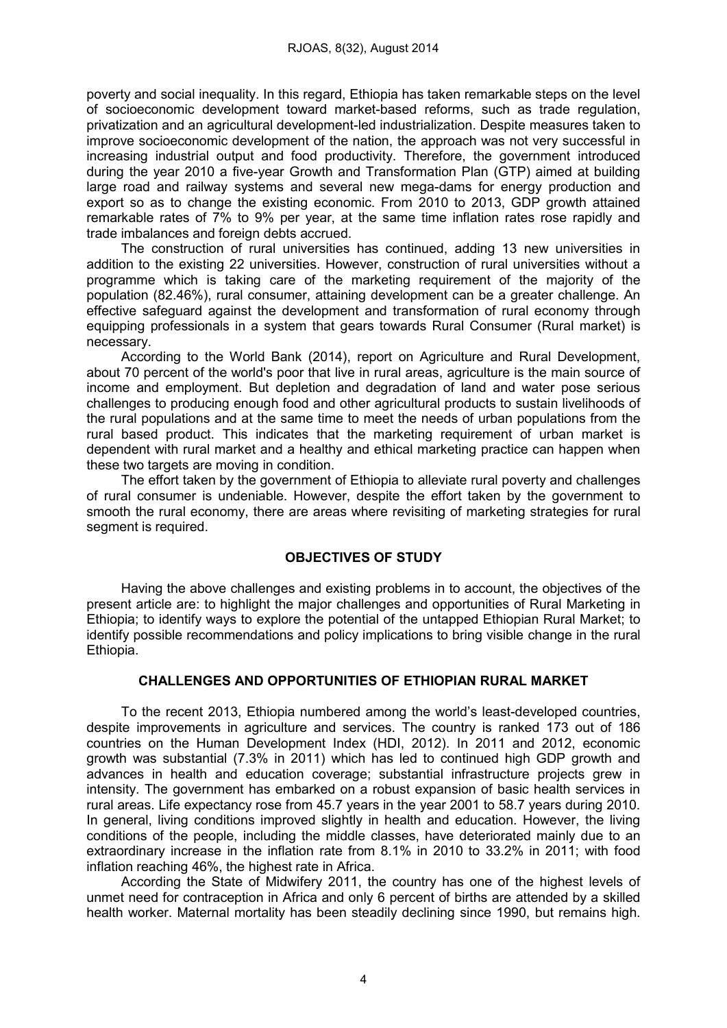poverty and social inequality. In this regard, Ethiopia has taken remarkable steps on the level of socioeconomic development toward market-based reforms, such as trade regulation, privatization and an agricultural development-led industrialization. Despite measures taken to improve socioeconomic development of the nation, the approach was not very successful in increasing industrial output and food productivity. Therefore, the government introduced during the year 2010 a five-year Growth and Transformation Plan (GTP) aimed at building large road and railway systems and several new mega-dams for energy production and export so as to change the existing economic. From 2010 to 2013, GDP growth attained remarkable rates of 7% to 9% per year, at the same time inflation rates rose rapidly and trade imbalances and foreign debts accrued.

The construction of rural universities has continued, adding 13 new universities in addition to the existing 22 universities. However, construction of rural universities without a programme which is taking care of the marketing requirement of the majority of the population (82.46%), rural consumer, attaining development can be a greater challenge. An effective safeguard against the development and transformation of rural economy through equipping professionals in a system that gears towards Rural Consumer (Rural market) is necessary.

According to the World Bank (2014), report on Agriculture and Rural Development, about 70 percent of the world's poor that live in rural areas, agriculture is the main source of income and employment. But depletion and degradation of land and water pose serious challenges to producing enough food and other agricultural products to sustain livelihoods of the rural populations and at the same time to meet the needs of urban populations from the rural based product. This indicates that the marketing requirement of urban market is dependent with rural market and a healthy and ethical marketing practice can happen when these two targets are moving in condition.

The effort taken by the government of Ethiopia to alleviate rural poverty and challenges of rural consumer is undeniable. However, despite the effort taken by the government to smooth the rural economy, there are areas where revisiting of marketing strategies for rural segment is required.

### OBJECTIVES OF STUDY

Having the above challenges and existing problems in to account, the objectives of the present article are: to highlight the major challenges and opportunities of Rural Marketing in Ethiopia; to identify ways to explore the potential of the untapped Ethiopian Rural Market; to identify possible recommendations and policy implications to bring visible change in the rural Ethiopia.

### CHALLENGES AND OPPORTUNITIES OF ETHIOPIAN RURAL MARKET

To the recent 2013, Ethiopia numbered among the world's least-developed countries, despite improvements in agriculture and services. The country is ranked 173 out of 186 countries on the Human Development Index (HDI, 2012). In 2011 and 2012, economic growth was substantial (7.3% in 2011) which has led to continued high GDP growth and advances in health and education coverage; substantial infrastructure projects grew in intensity. The government has embarked on a robust expansion of basic health services in rural areas. Life expectancy rose from 45.7 years in the year 2001 to 58.7 years during 2010. In general, living conditions improved slightly in health and education. However, the living conditions of the people, including the middle classes, have deteriorated mainly due to an extraordinary increase in the inflation rate from 8.1% in 2010 to 33.2% in 2011; with food inflation reaching 46%, the highest rate in Africa.

According the State of Midwifery 2011, the country has one of the highest levels of unmet need for contraception in Africa and only 6 percent of births are attended by a skilled health worker. Maternal mortality has been steadily declining since 1990, but remains high.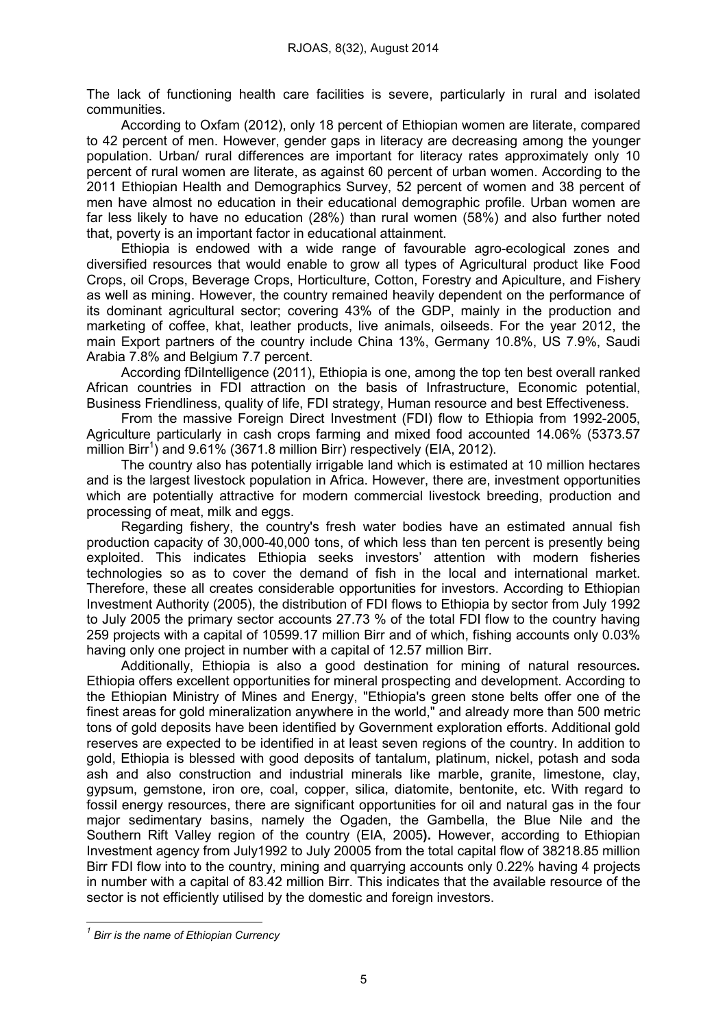The lack of functioning health care facilities is severe, particularly in rural and isolated communities.

According to Oxfam (2012), only 18 percent of Ethiopian women are literate, compared to 42 percent of men. However, gender gaps in literacy are decreasing among the younger population. Urban/ rural differences are important for literacy rates approximately only 10 percent of rural women are literate, as against 60 percent of urban women. According to the 2011 Ethiopian Health and Demographics Survey, 52 percent of women and 38 percent of men have almost no education in their educational demographic profile. Urban women are far less likely to have no education (28%) than rural women (58%) and also further noted that, poverty is an important factor in educational attainment.

Ethiopia is endowed with a wide range of favourable agro-ecological zones and diversified resources that would enable to grow all types of Agricultural product like Food Crops, oil Crops, Beverage Crops, Horticulture, Cotton, Forestry and Apiculture, and Fishery as well as mining. However, the country remained heavily dependent on the performance of its dominant agricultural sector; covering 43% of the GDP, mainly in the production and marketing of coffee, khat, leather products, live animals, oilseeds. For the year 2012, the main Export partners of the country include China 13%, Germany 10.8%, US 7.9%, Saudi Arabia 7.8% and Belgium 7.7 percent.

According fDiIntelligence (2011), Ethiopia is one, among the top ten best overall ranked African countries in FDI attraction on the basis of Infrastructure, Economic potential, Business Friendliness, quality of life, FDI strategy, Human resource and best Effectiveness.

From the massive Foreign Direct Investment (FDI) flow to Ethiopia from 1992-2005, Agriculture particularly in cash crops farming and mixed food accounted 14.06% (5373.57 million Birr<sup>1</sup>) and 9.61% (3671.8 million Birr) respectively (EIA, 2012).

The country also has potentially irrigable land which is estimated at 10 million hectares and is the largest livestock population in Africa. However, there are, investment opportunities which are potentially attractive for modern commercial livestock breeding, production and processing of meat, milk and eggs.

Regarding fishery, the country's fresh water bodies have an estimated annual fish production capacity of 30,000-40,000 tons, of which less than ten percent is presently being exploited. This indicates Ethiopia seeks investors' attention with modern fisheries technologies so as to cover the demand of fish in the local and international market. Therefore, these all creates considerable opportunities for investors. According to Ethiopian Investment Authority (2005), the distribution of FDI flows to Ethiopia by sector from July 1992 to July 2005 the primary sector accounts 27.73 % of the total FDI flow to the country having 259 projects with a capital of 10599.17 million Birr and of which, fishing accounts only 0.03% having only one project in number with a capital of 12.57 million Birr.

Additionally, Ethiopia is also a good destination for mining of natural resources. Ethiopia offers excellent opportunities for mineral prospecting and development. According to the Ethiopian Ministry of Mines and Energy, "Ethiopia's green stone belts offer one of the finest areas for gold mineralization anywhere in the world," and already more than 500 metric tons of gold deposits have been identified by Government exploration efforts. Additional gold reserves are expected to be identified in at least seven regions of the country. In addition to gold, Ethiopia is blessed with good deposits of tantalum, platinum, nickel, potash and soda ash and also construction and industrial minerals like marble, granite, limestone, clay, gypsum, gemstone, iron ore, coal, copper, silica, diatomite, bentonite, etc. With regard to fossil energy resources, there are significant opportunities for oil and natural gas in the four major sedimentary basins, namely the Ogaden, the Gambella, the Blue Nile and the Southern Rift Valley region of the country (EIA, 2005). However, according to Ethiopian Investment agency from July1992 to July 20005 from the total capital flow of 38218.85 million Birr FDI flow into to the country, mining and quarrying accounts only 0.22% having 4 projects in number with a capital of 83.42 million Birr. This indicates that the available resource of the sector is not efficiently utilised by the domestic and foreign investors.

 $<sup>1</sup>$  Birr is the name of Ethiopian Currency</sup>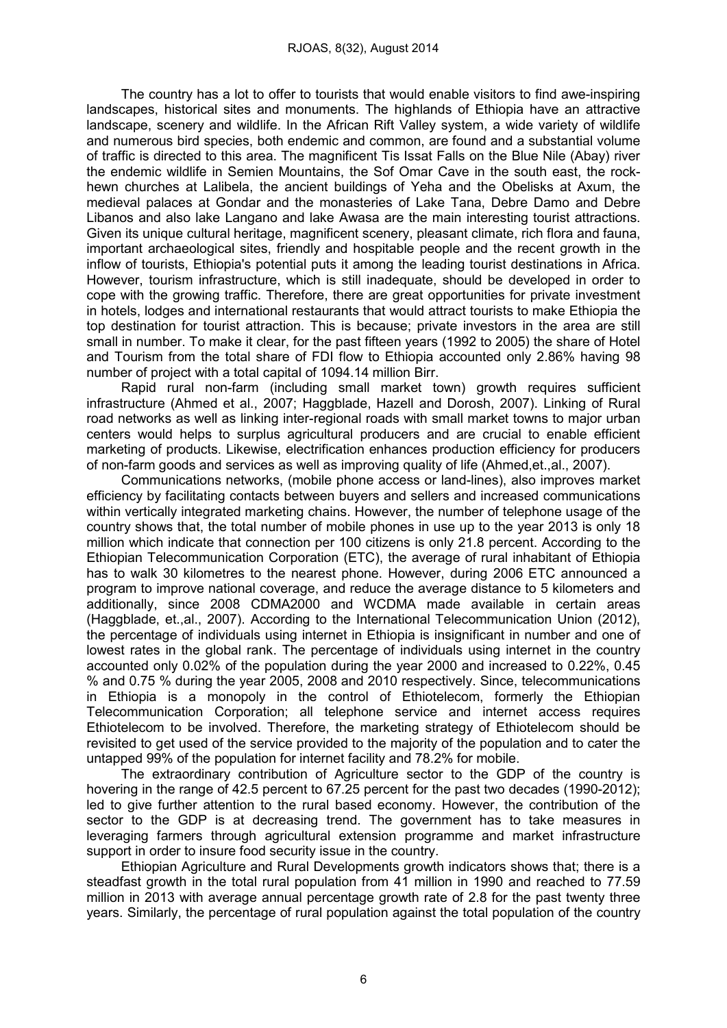The country has a lot to offer to tourists that would enable visitors to find awe-inspiring landscapes, historical sites and monuments. The highlands of Ethiopia have an attractive landscape, scenery and wildlife. In the African Rift Valley system, a wide variety of wildlife and numerous bird species, both endemic and common, are found and a substantial volume of traffic is directed to this area. The magnificent Tis Issat Falls on the Blue Nile (Abay) river the endemic wildlife in Semien Mountains, the Sof Omar Cave in the south east, the rockhewn churches at Lalibela, the ancient buildings of Yeha and the Obelisks at Axum, the medieval palaces at Gondar and the monasteries of Lake Tana, Debre Damo and Debre Libanos and also lake Langano and lake Awasa are the main interesting tourist attractions. Given its unique cultural heritage, magnificent scenery, pleasant climate, rich flora and fauna, important archaeological sites, friendly and hospitable people and the recent growth in the inflow of tourists, Ethiopia's potential puts it among the leading tourist destinations in Africa. However, tourism infrastructure, which is still inadequate, should be developed in order to cope with the growing traffic. Therefore, there are great opportunities for private investment in hotels, lodges and international restaurants that would attract tourists to make Ethiopia the top destination for tourist attraction. This is because; private investors in the area are still small in number. To make it clear, for the past fifteen years (1992 to 2005) the share of Hotel and Tourism from the total share of FDI flow to Ethiopia accounted only 2.86% having 98 number of project with a total capital of 1094.14 million Birr.

Rapid rural non-farm (including small market town) growth requires sufficient infrastructure (Ahmed et al., 2007; Haggblade, Hazell and Dorosh, 2007). Linking of Rural road networks as well as linking inter-regional roads with small market towns to major urban centers would helps to surplus agricultural producers and are crucial to enable efficient marketing of products. Likewise, electrification enhances production efficiency for producers of non-farm goods and services as well as improving quality of life (Ahmed,et.,al., 2007).

Communications networks, (mobile phone access or land-lines), also improves market efficiency by facilitating contacts between buyers and sellers and increased communications within vertically integrated marketing chains. However, the number of telephone usage of the country shows that, the total number of mobile phones in use up to the year 2013 is only 18 million which indicate that connection per 100 citizens is only 21.8 percent. According to the Ethiopian Telecommunication Corporation (ETC), the average of rural inhabitant of Ethiopia has to walk 30 kilometres to the nearest phone. However, during 2006 ETC announced a program to improve national coverage, and reduce the average distance to 5 kilometers and additionally, since 2008 CDMA2000 and WCDMA made available in certain areas (Haggblade, et.,al., 2007). According to the International Telecommunication Union (2012), the percentage of individuals using internet in Ethiopia is insignificant in number and one of lowest rates in the global rank. The percentage of individuals using internet in the country accounted only 0.02% of the population during the year 2000 and increased to 0.22%, 0.45 % and 0.75 % during the year 2005, 2008 and 2010 respectively. Since, telecommunications in Ethiopia is a monopoly in the control of Ethiotelecom, formerly the Ethiopian Telecommunication Corporation; all telephone service and internet access requires Ethiotelecom to be involved. Therefore, the marketing strategy of Ethiotelecom should be revisited to get used of the service provided to the majority of the population and to cater the untapped 99% of the population for internet facility and 78.2% for mobile.

The extraordinary contribution of Agriculture sector to the GDP of the country is hovering in the range of 42.5 percent to 67.25 percent for the past two decades (1990-2012); led to give further attention to the rural based economy. However, the contribution of the sector to the GDP is at decreasing trend. The government has to take measures in leveraging farmers through agricultural extension programme and market infrastructure support in order to insure food security issue in the country.

Ethiopian Agriculture and Rural Developments growth indicators shows that; there is a steadfast growth in the total rural population from 41 million in 1990 and reached to 77.59 million in 2013 with average annual percentage growth rate of 2.8 for the past twenty three years. Similarly, the percentage of rural population against the total population of the country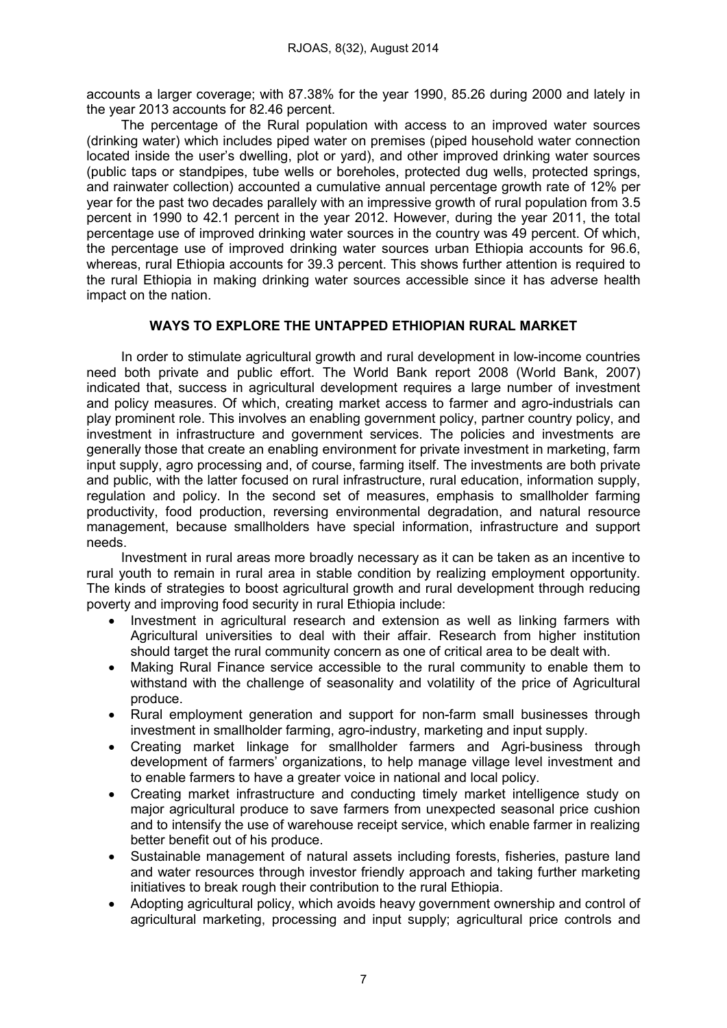accounts a larger coverage; with 87.38% for the year 1990, 85.26 during 2000 and lately in the year 2013 accounts for 82.46 percent.

The percentage of the Rural population with access to an improved water sources (drinking water) which includes piped water on premises (piped household water connection located inside the user's dwelling, plot or yard), and other improved drinking water sources (public taps or standpipes, tube wells or boreholes, protected dug wells, protected springs, and rainwater collection) accounted a cumulative annual percentage growth rate of 12% per year for the past two decades parallely with an impressive growth of rural population from 3.5 percent in 1990 to 42.1 percent in the year 2012. However, during the year 2011, the total percentage use of improved drinking water sources in the country was 49 percent. Of which, the percentage use of improved drinking water sources urban Ethiopia accounts for 96.6, whereas, rural Ethiopia accounts for 39.3 percent. This shows further attention is required to the rural Ethiopia in making drinking water sources accessible since it has adverse health impact on the nation.

### WAYS TO EXPLORE THE UNTAPPED ETHIOPIAN RURAL MARKET

In order to stimulate agricultural growth and rural development in low-income countries need both private and public effort. The World Bank report 2008 (World Bank, 2007) indicated that, success in agricultural development requires a large number of investment and policy measures. Of which, creating market access to farmer and agro-industrials can play prominent role. This involves an enabling government policy, partner country policy, and investment in infrastructure and government services. The policies and investments are generally those that create an enabling environment for private investment in marketing, farm input supply, agro processing and, of course, farming itself. The investments are both private and public, with the latter focused on rural infrastructure, rural education, information supply, regulation and policy. In the second set of measures, emphasis to smallholder farming productivity, food production, reversing environmental degradation, and natural resource management, because smallholders have special information, infrastructure and support needs.

Investment in rural areas more broadly necessary as it can be taken as an incentive to rural youth to remain in rural area in stable condition by realizing employment opportunity. The kinds of strategies to boost agricultural growth and rural development through reducing poverty and improving food security in rural Ethiopia include:

- Investment in agricultural research and extension as well as linking farmers with Agricultural universities to deal with their affair. Research from higher institution should target the rural community concern as one of critical area to be dealt with.
- Making Rural Finance service accessible to the rural community to enable them to withstand with the challenge of seasonality and volatility of the price of Agricultural produce.
- Rural employment generation and support for non-farm small businesses through investment in smallholder farming, agro-industry, marketing and input supply.
- Creating market linkage for smallholder farmers and Agri-business through development of farmers' organizations, to help manage village level investment and to enable farmers to have a greater voice in national and local policy.
- Creating market infrastructure and conducting timely market intelligence study on major agricultural produce to save farmers from unexpected seasonal price cushion and to intensify the use of warehouse receipt service, which enable farmer in realizing better benefit out of his produce.
- Sustainable management of natural assets including forests, fisheries, pasture land and water resources through investor friendly approach and taking further marketing initiatives to break rough their contribution to the rural Ethiopia.
- Adopting agricultural policy, which avoids heavy government ownership and control of agricultural marketing, processing and input supply; agricultural price controls and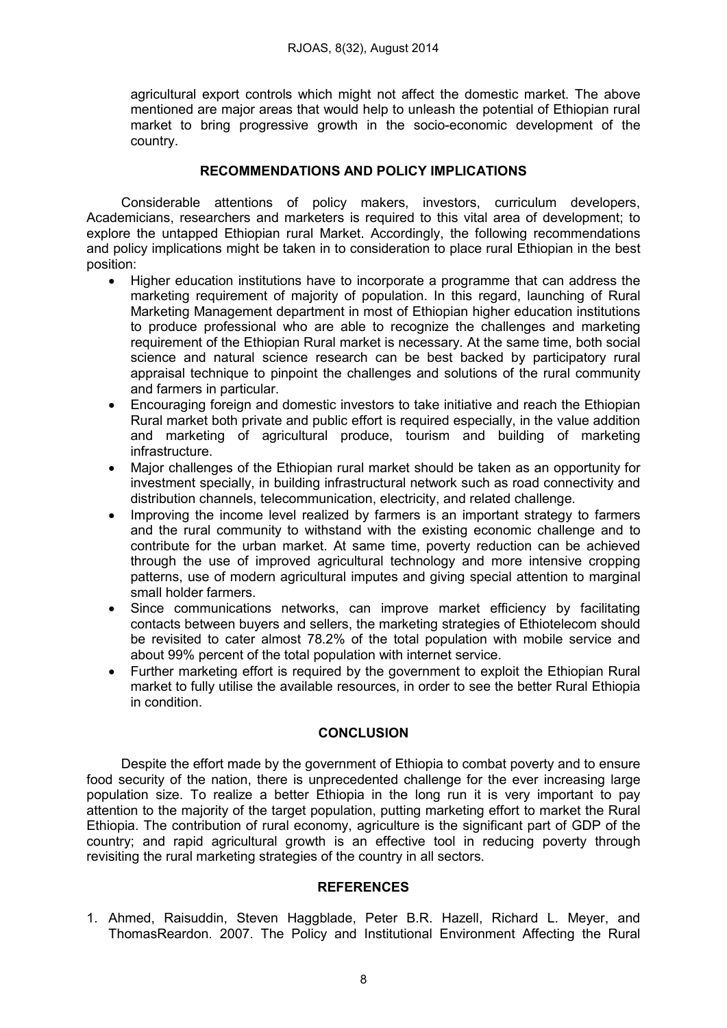agricultural export controls which might not affect the domestic market. The above mentioned are major areas that would help to unleash the potential of Ethiopian rural market to bring progressive growth in the socio-economic development of the country.

## RECOMMENDATIONS AND POLICY IMPLICATIONS

Considerable attentions of policy makers, investors, curriculum developers, Academicians, researchers and marketers is required to this vital area of development; to explore the untapped Ethiopian rural Market. Accordingly, the following recommendations and policy implications might be taken in to consideration to place rural Ethiopian in the best position:

- Higher education institutions have to incorporate a programme that can address the marketing requirement of majority of population. In this regard, launching of Rural Marketing Management department in most of Ethiopian higher education institutions to produce professional who are able to recognize the challenges and marketing requirement of the Ethiopian Rural market is necessary. At the same time, both social science and natural science research can be best backed by participatory rural appraisal technique to pinpoint the challenges and solutions of the rural community and farmers in particular.
- Encouraging foreign and domestic investors to take initiative and reach the Ethiopian Rural market both private and public effort is required especially, in the value addition and marketing of agricultural produce, tourism and building of marketing infrastructure.
- Major challenges of the Ethiopian rural market should be taken as an opportunity for investment specially, in building infrastructural network such as road connectivity and distribution channels, telecommunication, electricity, and related challenge.
- Improving the income level realized by farmers is an important strategy to farmers and the rural community to withstand with the existing economic challenge and to contribute for the urban market. At same time, poverty reduction can be achieved through the use of improved agricultural technology and more intensive cropping patterns, use of modern agricultural imputes and giving special attention to marginal small holder farmers.
- Since communications networks, can improve market efficiency by facilitating contacts between buyers and sellers, the marketing strategies of Ethiotelecom should be revisited to cater almost 78.2% of the total population with mobile service and about 99% percent of the total population with internet service.
- Further marketing effort is required by the government to exploit the Ethiopian Rural market to fully utilise the available resources, in order to see the better Rural Ethiopia in condition.

### **CONCLUSION**

Despite the effort made by the government of Ethiopia to combat poverty and to ensure food security of the nation, there is unprecedented challenge for the ever increasing large population size. To realize a better Ethiopia in the long run it is very important to pay attention to the majority of the target population, putting marketing effort to market the Rural Ethiopia. The contribution of rural economy, agriculture is the significant part of GDP of the country; and rapid agricultural growth is an effective tool in reducing poverty through revisiting the rural marketing strategies of the country in all sectors.

### **REFERENCES**

1. Ahmed, Raisuddin, Steven Haggblade, Peter B.R. Hazell, Richard L. Meyer, and ThomasReardon. 2007. The Policy and Institutional Environment Affecting the Rural